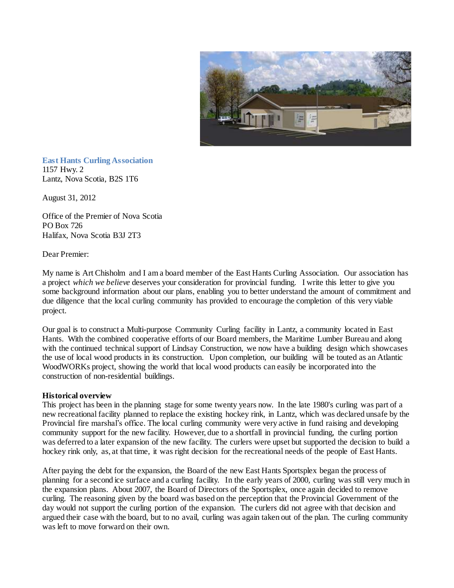

**East Hants Curling Association**  1157 Hwy. 2 Lantz, Nova Scotia, B2S 1T6

August 31, 2012

Office of the Premier of Nova Scotia PO Box 726 Halifax, Nova Scotia B3J 2T3

Dear Premier:

My name is Art Chisholm and I am a board member of the East Hants Curling Association. Our association has a project *which we believe* deserves your consideration for provincial funding. I write this letter to give you some background information about our plans, enabling you to better understand the amount of commitment and due diligence that the local curling community has provided to encourage the completion of this very viable project.

Our goal is to construct a Multi-purpose Community Curling facility in Lantz, a community located in East Hants. With the combined cooperative efforts of our Board members, the Maritime Lumber Bureau and along with the continued technical support of Lindsay Construction, we now have a building design which showcases the use of local wood products in its construction. Upon completion, our building will be touted as an Atlantic WoodWORKs project, showing the world that local wood products can easily be incorporated into the construction of non-residential buildings.

## **Historical overview**

This project has been in the planning stage for some twenty years now. In the late 1980's curling was part of a new recreational facility planned to replace the existing hockey rink, in Lantz, which was declared unsafe by the Provincial fire marshal's office. The local curling community were very active in fund raising and developing community support for the new facility. However, due to a shortfall in provincial funding, the curling portion was deferred to a later expansion of the new facility. The curlers were upset but supported the decision to build a hockey rink only, as, at that time, it was right decision for the recreational needs of the people of East Hants.

After paying the debt for the expansion, the Board of the new East Hants Sportsplex began the process of planning for a second ice surface and a curling facility. In the early years of 2000, curling was still very much in the expansion plans. About 2007, the Board of Directors of the Sportsplex, once again decided to remove curling. The reasoning given by the board was based on the perception that the Provincial Government of the day would not support the curling portion of the expansion. The curlers did not agree with that decision and argued their case with the board, but to no avail, curling was again taken out of the plan. The curling community was left to move forward on their own.